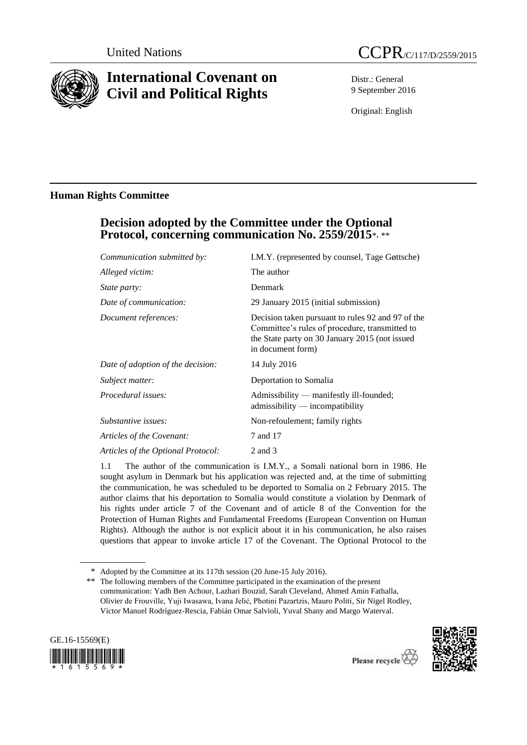

# **International Covenant on Civil and Political Rights**

Distr.: General 9 September 2016

Original: English

# **Human Rights Committee**

# **Decision adopted by the Committee under the Optional Protocol, concerning communication No. 2559/2015**\*, \*\*

| Communication submitted by:        | I.M.Y. (represented by counsel, Tage Gøttsche)                                                                                                                             |
|------------------------------------|----------------------------------------------------------------------------------------------------------------------------------------------------------------------------|
| Alleged victim:                    | The author                                                                                                                                                                 |
| <i>State party:</i>                | Denmark                                                                                                                                                                    |
| Date of communication:             | 29 January 2015 (initial submission)                                                                                                                                       |
| Document references:               | Decision taken pursuant to rules 92 and 97 of the<br>Committee's rules of procedure, transmitted to<br>the State party on 30 January 2015 (not issued<br>in document form) |
| Date of adoption of the decision:  | 14 July 2016                                                                                                                                                               |
| Subject matter:                    | Deportation to Somalia                                                                                                                                                     |
| Procedural issues:                 | Admissibility — manifestly ill-founded;<br>admissibility — incompatibility                                                                                                 |
| Substantive issues:                | Non-refoulement; family rights                                                                                                                                             |
| Articles of the Covenant:          | 7 and 17                                                                                                                                                                   |
| Articles of the Optional Protocol: | 2 and 3                                                                                                                                                                    |
|                                    |                                                                                                                                                                            |

1.1 The author of the communication is I.M.Y., a Somali national born in 1986. He sought asylum in Denmark but his application was rejected and, at the time of submitting the communication, he was scheduled to be deported to Somalia on 2 February 2015. The author claims that his deportation to Somalia would constitute a violation by Denmark of his rights under article 7 of the Covenant and of article 8 of the Convention for the Protection of Human Rights and Fundamental Freedoms (European Convention on Human Rights). Although the author is not explicit about it in his communication, he also raises questions that appear to invoke article 17 of the Covenant. The Optional Protocol to the

The following members of the Committee participated in the examination of the present communication: Yadh Ben Achour, Lazhari Bouzid, Sarah Cleveland, Ahmed Amin Fathalla, Olivier de Frouville, Yuji Iwasawa, Ivana Jelić, Photini Pazartzis, Mauro Politi, Sir Nigel Rodley, Víctor Manuel Rodríguez-Rescia, Fabián Omar Salvioli, Yuval Shany and Margo Waterval.





<sup>\*</sup> Adopted by the Committee at its 117th session (20 June-15 July 2016).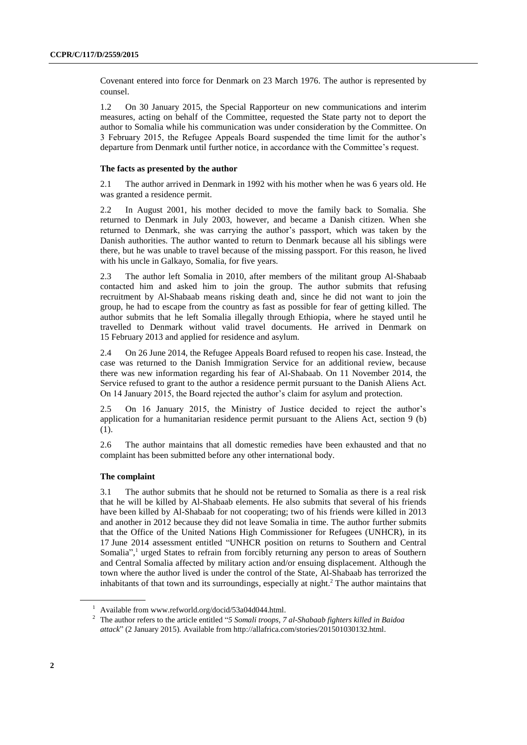Covenant entered into force for Denmark on 23 March 1976. The author is represented by counsel.

1.2 On 30 January 2015, the Special Rapporteur on new communications and interim measures, acting on behalf of the Committee, requested the State party not to deport the author to Somalia while his communication was under consideration by the Committee. On 3 February 2015, the Refugee Appeals Board suspended the time limit for the author's departure from Denmark until further notice, in accordance with the Committee's request.

### **The facts as presented by the author**

2.1 The author arrived in Denmark in 1992 with his mother when he was 6 years old. He was granted a residence permit.

2.2 In August 2001, his mother decided to move the family back to Somalia. She returned to Denmark in July 2003, however, and became a Danish citizen. When she returned to Denmark, she was carrying the author's passport, which was taken by the Danish authorities. The author wanted to return to Denmark because all his siblings were there, but he was unable to travel because of the missing passport. For this reason, he lived with his uncle in Galkayo, Somalia, for five years.

2.3 The author left Somalia in 2010, after members of the militant group Al-Shabaab contacted him and asked him to join the group. The author submits that refusing recruitment by Al-Shabaab means risking death and, since he did not want to join the group, he had to escape from the country as fast as possible for fear of getting killed. The author submits that he left Somalia illegally through Ethiopia, where he stayed until he travelled to Denmark without valid travel documents. He arrived in Denmark on 15 February 2013 and applied for residence and asylum.

2.4 On 26 June 2014, the Refugee Appeals Board refused to reopen his case. Instead, the case was returned to the Danish Immigration Service for an additional review, because there was new information regarding his fear of Al-Shabaab. On 11 November 2014, the Service refused to grant to the author a residence permit pursuant to the Danish Aliens Act. On 14 January 2015, the Board rejected the author's claim for asylum and protection.

2.5 On 16 January 2015, the Ministry of Justice decided to reject the author's application for a humanitarian residence permit pursuant to the Aliens Act, section 9 (b) (1).

2.6 The author maintains that all domestic remedies have been exhausted and that no complaint has been submitted before any other international body.

#### **The complaint**

3.1 The author submits that he should not be returned to Somalia as there is a real risk that he will be killed by Al-Shabaab elements. He also submits that several of his friends have been killed by Al-Shabaab for not cooperating; two of his friends were killed in 2013 and another in 2012 because they did not leave Somalia in time. The author further submits that the Office of the United Nations High Commissioner for Refugees (UNHCR), in its 17 June 2014 assessment entitled "UNHCR position on returns to Southern and Central Somalia",<sup>1</sup> urged States to refrain from forcibly returning any person to areas of Southern and Central Somalia affected by military action and/or ensuing displacement. Although the town where the author lived is under the control of the State, Al-Shabaab has terrorized the inhabitants of that town and its surroundings, especially at night. <sup>2</sup> The author maintains that

<sup>1</sup> Available from www.refworld.org/docid/53a04d044.html.

<sup>2</sup> The author refers to the article entitled "*5 Somali troops, 7 al-Shabaab fighters killed in Baidoa attack*" (2 January 2015). Available from http://allafrica.com/stories/201501030132.html.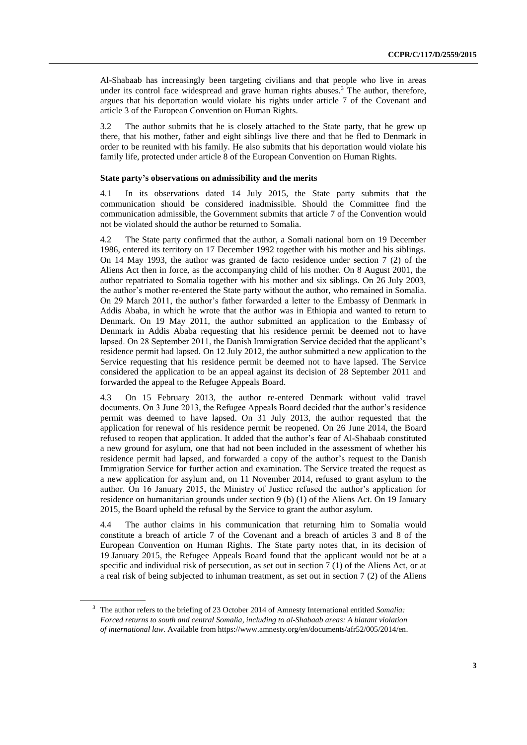Al-Shabaab has increasingly been targeting civilians and that people who live in areas under its control face widespread and grave human rights abuses.<sup>3</sup> The author, therefore, argues that his deportation would violate his rights under article 7 of the Covenant and article 3 of the European Convention on Human Rights.

3.2 The author submits that he is closely attached to the State party, that he grew up there, that his mother, father and eight siblings live there and that he fled to Denmark in order to be reunited with his family. He also submits that his deportation would violate his family life, protected under article 8 of the European Convention on Human Rights.

## **State party's observations on admissibility and the merits**

4.1 In its observations dated 14 July 2015, the State party submits that the communication should be considered inadmissible. Should the Committee find the communication admissible, the Government submits that article 7 of the Convention would not be violated should the author be returned to Somalia.

4.2 The State party confirmed that the author, a Somali national born on 19 December 1986, entered its territory on 17 December 1992 together with his mother and his siblings. On 14 May 1993, the author was granted de facto residence under section 7 (2) of the Aliens Act then in force, as the accompanying child of his mother. On 8 August 2001, the author repatriated to Somalia together with his mother and six siblings. On 26 July 2003, the author's mother re-entered the State party without the author, who remained in Somalia. On 29 March 2011, the author's father forwarded a letter to the Embassy of Denmark in Addis Ababa, in which he wrote that the author was in Ethiopia and wanted to return to Denmark. On 19 May 2011, the author submitted an application to the Embassy of Denmark in Addis Ababa requesting that his residence permit be deemed not to have lapsed. On 28 September 2011, the Danish Immigration Service decided that the applicant's residence permit had lapsed. On 12 July 2012, the author submitted a new application to the Service requesting that his residence permit be deemed not to have lapsed. The Service considered the application to be an appeal against its decision of 28 September 2011 and forwarded the appeal to the Refugee Appeals Board.

4.3 On 15 February 2013, the author re-entered Denmark without valid travel documents. On 3 June 2013, the Refugee Appeals Board decided that the author's residence permit was deemed to have lapsed. On 31 July 2013, the author requested that the application for renewal of his residence permit be reopened. On 26 June 2014, the Board refused to reopen that application. It added that the author's fear of Al-Shabaab constituted a new ground for asylum, one that had not been included in the assessment of whether his residence permit had lapsed, and forwarded a copy of the author's request to the Danish Immigration Service for further action and examination. The Service treated the request as a new application for asylum and, on 11 November 2014, refused to grant asylum to the author. On 16 January 2015, the Ministry of Justice refused the author's application for residence on humanitarian grounds under section 9 (b) (1) of the Aliens Act. On 19 January 2015, the Board upheld the refusal by the Service to grant the author asylum.

4.4 The author claims in his communication that returning him to Somalia would constitute a breach of article 7 of the Covenant and a breach of articles 3 and 8 of the European Convention on Human Rights. The State party notes that, in its decision of 19 January 2015, the Refugee Appeals Board found that the applicant would not be at a specific and individual risk of persecution, as set out in section 7 (1) of the Aliens Act, or at a real risk of being subjected to inhuman treatment, as set out in section 7 (2) of the Aliens

<sup>3</sup> The author refers to the briefing of 23 October 2014 of Amnesty International entitled *Somalia: Forced returns to south and central Somalia, including to al-Shabaab areas: A blatant violation of international law.* Available from https://www.amnesty.org/en/documents/afr52/005/2014/en.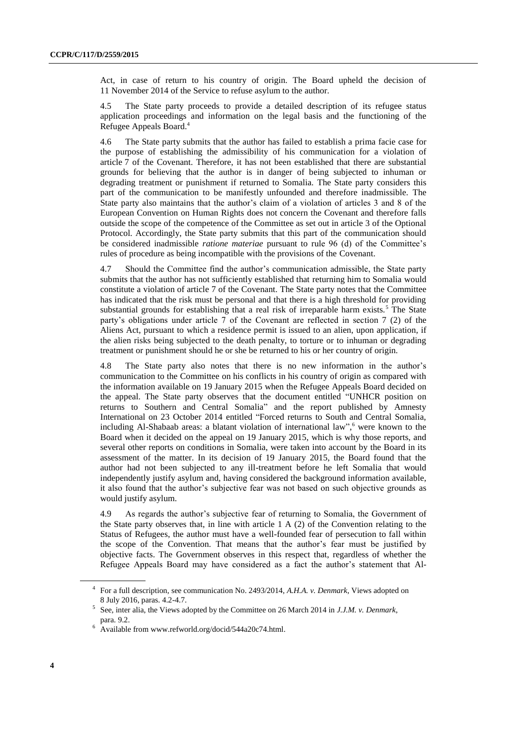Act, in case of return to his country of origin. The Board upheld the decision of 11 November 2014 of the Service to refuse asylum to the author.

4.5 The State party proceeds to provide a detailed description of its refugee status application proceedings and information on the legal basis and the functioning of the Refugee Appeals Board.<sup>4</sup>

4.6 The State party submits that the author has failed to establish a prima facie case for the purpose of establishing the admissibility of his communication for a violation of article 7 of the Covenant. Therefore, it has not been established that there are substantial grounds for believing that the author is in danger of being subjected to inhuman or degrading treatment or punishment if returned to Somalia. The State party considers this part of the communication to be manifestly unfounded and therefore inadmissible. The State party also maintains that the author's claim of a violation of articles 3 and 8 of the European Convention on Human Rights does not concern the Covenant and therefore falls outside the scope of the competence of the Committee as set out in article 3 of the Optional Protocol. Accordingly, the State party submits that this part of the communication should be considered inadmissible *ratione materiae* pursuant to rule 96 (d) of the Committee's rules of procedure as being incompatible with the provisions of the Covenant.

4.7 Should the Committee find the author's communication admissible, the State party submits that the author has not sufficiently established that returning him to Somalia would constitute a violation of article 7 of the Covenant. The State party notes that the Committee has indicated that the risk must be personal and that there is a high threshold for providing substantial grounds for establishing that a real risk of irreparable harm exists.<sup>5</sup> The State party's obligations under article 7 of the Covenant are reflected in section 7 (2) of the Aliens Act, pursuant to which a residence permit is issued to an alien, upon application, if the alien risks being subjected to the death penalty, to torture or to inhuman or degrading treatment or punishment should he or she be returned to his or her country of origin.

4.8 The State party also notes that there is no new information in the author's communication to the Committee on his conflicts in his country of origin as compared with the information available on 19 January 2015 when the Refugee Appeals Board decided on the appeal. The State party observes that the document entitled "UNHCR position on returns to Southern and Central Somalia" and the report published by Amnesty International on 23 October 2014 entitled "Forced returns to South and Central Somalia, including Al-Shabaab areas: a blatant violation of international law", <sup>6</sup> were known to the Board when it decided on the appeal on 19 January 2015, which is why those reports, and several other reports on conditions in Somalia, were taken into account by the Board in its assessment of the matter. In its decision of 19 January 2015, the Board found that the author had not been subjected to any ill-treatment before he left Somalia that would independently justify asylum and, having considered the background information available, it also found that the author's subjective fear was not based on such objective grounds as would justify asylum.

4.9 As regards the author's subjective fear of returning to Somalia, the Government of the State party observes that, in line with article  $1 \text{ A}$  (2) of the Convention relating to the Status of Refugees, the author must have a well-founded fear of persecution to fall within the scope of the Convention. That means that the author's fear must be justified by objective facts. The Government observes in this respect that, regardless of whether the Refugee Appeals Board may have considered as a fact the author's statement that Al-

<sup>4</sup> For a full description, see communication No. 2493/2014, *A.H.A. v. Denmark*, Views adopted on 8 July 2016, paras. 4.2-4.7.

<sup>5</sup> See, inter alia, the Views adopted by the Committee on 26 March 2014 in *J.J.M. v. Denmark*, para. 9.2.

<sup>6</sup> Available from www.refworld.org/docid/544a20c74.html.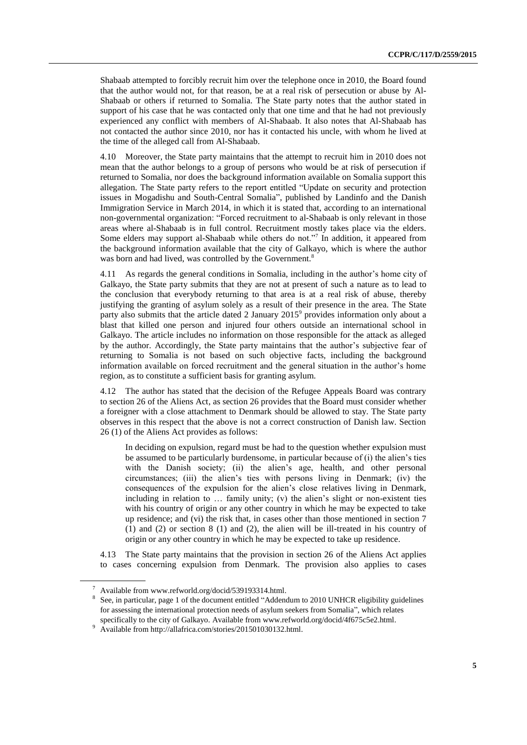Shabaab attempted to forcibly recruit him over the telephone once in 2010, the Board found that the author would not, for that reason, be at a real risk of persecution or abuse by Al-Shabaab or others if returned to Somalia. The State party notes that the author stated in support of his case that he was contacted only that one time and that he had not previously experienced any conflict with members of Al-Shabaab. It also notes that Al-Shabaab has not contacted the author since 2010, nor has it contacted his uncle, with whom he lived at the time of the alleged call from Al-Shabaab.

4.10 Moreover, the State party maintains that the attempt to recruit him in 2010 does not mean that the author belongs to a group of persons who would be at risk of persecution if returned to Somalia, nor does the background information available on Somalia support this allegation. The State party refers to the report entitled "Update on security and protection issues in Mogadishu and South-Central Somalia", published by Landinfo and the Danish Immigration Service in March 2014, in which it is stated that, according to an international non-governmental organization: "Forced recruitment to al-Shabaab is only relevant in those areas where al-Shabaab is in full control. Recruitment mostly takes place via the elders. Some elders may support al-Shabaab while others do not."<sup>7</sup> In addition, it appeared from the background information available that the city of Galkayo, which is where the author was born and had lived, was controlled by the Government.<sup>8</sup>

4.11 As regards the general conditions in Somalia, including in the author's home city of Galkayo, the State party submits that they are not at present of such a nature as to lead to the conclusion that everybody returning to that area is at a real risk of abuse, thereby justifying the granting of asylum solely as a result of their presence in the area. The State party also submits that the article dated 2 January  $2015^{\circ}$  provides information only about a blast that killed one person and injured four others outside an international school in Galkayo. The article includes no information on those responsible for the attack as alleged by the author. Accordingly, the State party maintains that the author's subjective fear of returning to Somalia is not based on such objective facts, including the background information available on forced recruitment and the general situation in the author's home region, as to constitute a sufficient basis for granting asylum.

4.12 The author has stated that the decision of the Refugee Appeals Board was contrary to section 26 of the Aliens Act, as section 26 provides that the Board must consider whether a foreigner with a close attachment to Denmark should be allowed to stay. The State party observes in this respect that the above is not a correct construction of Danish law. Section 26 (1) of the Aliens Act provides as follows:

In deciding on expulsion, regard must be had to the question whether expulsion must be assumed to be particularly burdensome, in particular because of (i) the alien's ties with the Danish society; (ii) the alien's age, health, and other personal circumstances; (iii) the alien's ties with persons living in Denmark; (iv) the consequences of the expulsion for the alien's close relatives living in Denmark, including in relation to … family unity; (v) the alien's slight or non-existent ties with his country of origin or any other country in which he may be expected to take up residence; and (vi) the risk that, in cases other than those mentioned in section 7 (1) and (2) or section 8 (1) and (2), the alien will be ill-treated in his country of origin or any other country in which he may be expected to take up residence.

4.13 The State party maintains that the provision in section 26 of the Aliens Act applies to cases concerning expulsion from Denmark. The provision also applies to cases

<sup>7</sup> Available from www.refworld.org/docid/539193314.html.

<sup>&</sup>lt;sup>8</sup> See, in particular, page 1 of the document entitled "Addendum to 2010 UNHCR eligibility guidelines for assessing the international protection needs of asylum seekers from Somalia", which relates specifically to the city of Galkayo. Available from www.refworld.org/docid/4f675c5e2.html.

<sup>9</sup> Available from http://allafrica.com/stories/201501030132.html.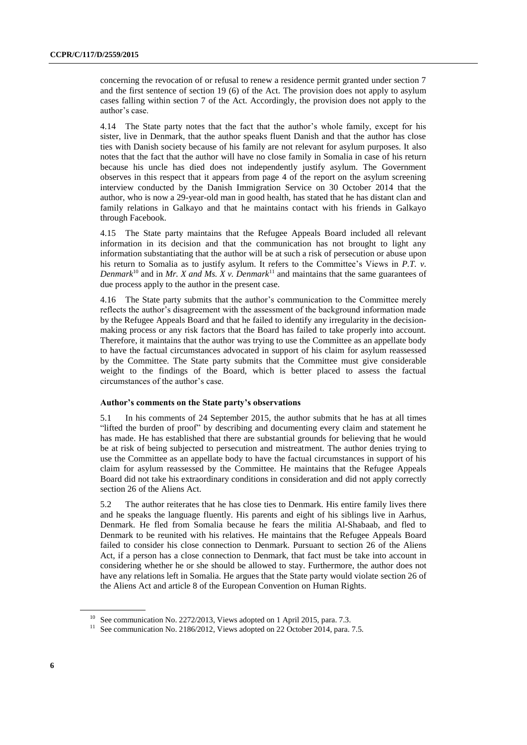concerning the revocation of or refusal to renew a residence permit granted under section 7 and the first sentence of section 19 (6) of the Act. The provision does not apply to asylum cases falling within section 7 of the Act. Accordingly, the provision does not apply to the author's case.

4.14 The State party notes that the fact that the author's whole family, except for his sister, live in Denmark, that the author speaks fluent Danish and that the author has close ties with Danish society because of his family are not relevant for asylum purposes. It also notes that the fact that the author will have no close family in Somalia in case of his return because his uncle has died does not independently justify asylum. The Government observes in this respect that it appears from page 4 of the report on the asylum screening interview conducted by the Danish Immigration Service on 30 October 2014 that the author, who is now a 29-year-old man in good health, has stated that he has distant clan and family relations in Galkayo and that he maintains contact with his friends in Galkayo through Facebook.

4.15 The State party maintains that the Refugee Appeals Board included all relevant information in its decision and that the communication has not brought to light any information substantiating that the author will be at such a risk of persecution or abuse upon his return to Somalia as to justify asylum. It refers to the Committee's Views in *P.T. v. Denmark*<sup>10</sup> and in *Mr. X and Ms. X v. Denmark*<sup>11</sup> and maintains that the same guarantees of due process apply to the author in the present case.

4.16 The State party submits that the author's communication to the Committee merely reflects the author's disagreement with the assessment of the background information made by the Refugee Appeals Board and that he failed to identify any irregularity in the decisionmaking process or any risk factors that the Board has failed to take properly into account. Therefore, it maintains that the author was trying to use the Committee as an appellate body to have the factual circumstances advocated in support of his claim for asylum reassessed by the Committee. The State party submits that the Committee must give considerable weight to the findings of the Board, which is better placed to assess the factual circumstances of the author's case.

## **Author's comments on the State party's observations**

5.1 In his comments of 24 September 2015, the author submits that he has at all times "lifted the burden of proof" by describing and documenting every claim and statement he has made. He has established that there are substantial grounds for believing that he would be at risk of being subjected to persecution and mistreatment. The author denies trying to use the Committee as an appellate body to have the factual circumstances in support of his claim for asylum reassessed by the Committee. He maintains that the Refugee Appeals Board did not take his extraordinary conditions in consideration and did not apply correctly section 26 of the Aliens Act.

5.2 The author reiterates that he has close ties to Denmark. His entire family lives there and he speaks the language fluently. His parents and eight of his siblings live in Aarhus, Denmark. He fled from Somalia because he fears the militia Al-Shabaab, and fled to Denmark to be reunited with his relatives. He maintains that the Refugee Appeals Board failed to consider his close connection to Denmark. Pursuant to section 26 of the Aliens Act, if a person has a close connection to Denmark, that fact must be take into account in considering whether he or she should be allowed to stay. Furthermore, the author does not have any relations left in Somalia. He argues that the State party would violate section 26 of the Aliens Act and article 8 of the European Convention on Human Rights.

<sup>&</sup>lt;sup>10</sup> See communication No. 2272/2013, Views adopted on 1 April 2015, para. 7.3.

 $11$  See communication No. 2186/2012, Views adopted on 22 October 2014, para. 7.5.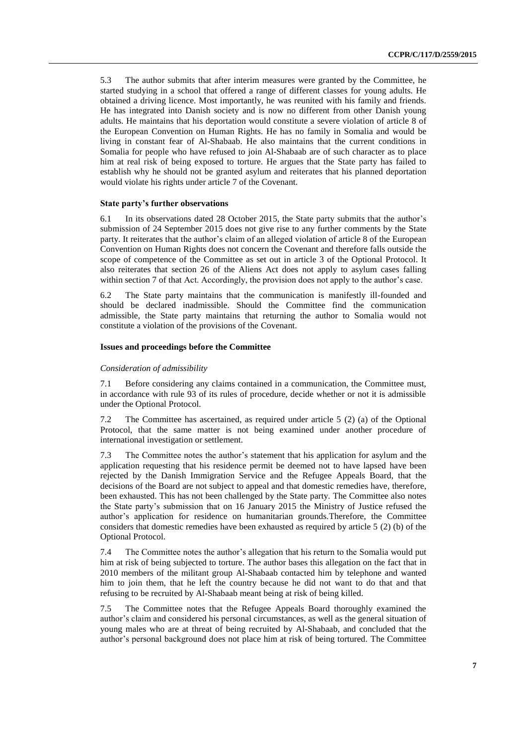5.3 The author submits that after interim measures were granted by the Committee, he started studying in a school that offered a range of different classes for young adults. He obtained a driving licence. Most importantly, he was reunited with his family and friends. He has integrated into Danish society and is now no different from other Danish young adults. He maintains that his deportation would constitute a severe violation of article 8 of the European Convention on Human Rights. He has no family in Somalia and would be living in constant fear of Al-Shabaab. He also maintains that the current conditions in Somalia for people who have refused to join Al-Shabaab are of such character as to place him at real risk of being exposed to torture. He argues that the State party has failed to establish why he should not be granted asylum and reiterates that his planned deportation would violate his rights under article 7 of the Covenant.

#### **State party's further observations**

6.1 In its observations dated 28 October 2015, the State party submits that the author's submission of 24 September 2015 does not give rise to any further comments by the State party. It reiterates that the author's claim of an alleged violation of article 8 of the European Convention on Human Rights does not concern the Covenant and therefore falls outside the scope of competence of the Committee as set out in article 3 of the Optional Protocol. It also reiterates that section 26 of the Aliens Act does not apply to asylum cases falling within section 7 of that Act. Accordingly, the provision does not apply to the author's case.

6.2 The State party maintains that the communication is manifestly ill-founded and should be declared inadmissible. Should the Committee find the communication admissible, the State party maintains that returning the author to Somalia would not constitute a violation of the provisions of the Covenant.

#### **Issues and proceedings before the Committee**

#### *Consideration of admissibility*

7.1 Before considering any claims contained in a communication, the Committee must, in accordance with rule 93 of its rules of procedure, decide whether or not it is admissible under the Optional Protocol.

7.2 The Committee has ascertained, as required under article 5 (2) (a) of the Optional Protocol, that the same matter is not being examined under another procedure of international investigation or settlement.

7.3 The Committee notes the author's statement that his application for asylum and the application requesting that his residence permit be deemed not to have lapsed have been rejected by the Danish Immigration Service and the Refugee Appeals Board, that the decisions of the Board are not subject to appeal and that domestic remedies have, therefore, been exhausted. This has not been challenged by the State party. The Committee also notes the State party's submission that on 16 January 2015 the Ministry of Justice refused the author's application for residence on humanitarian grounds.Therefore, the Committee considers that domestic remedies have been exhausted as required by article 5 (2) (b) of the Optional Protocol.

7.4 The Committee notes the author's allegation that his return to the Somalia would put him at risk of being subjected to torture. The author bases this allegation on the fact that in 2010 members of the militant group Al-Shabaab contacted him by telephone and wanted him to join them, that he left the country because he did not want to do that and that refusing to be recruited by Al-Shabaab meant being at risk of being killed.

7.5 The Committee notes that the Refugee Appeals Board thoroughly examined the author's claim and considered his personal circumstances, as well as the general situation of young males who are at threat of being recruited by Al-Shabaab, and concluded that the author's personal background does not place him at risk of being tortured. The Committee